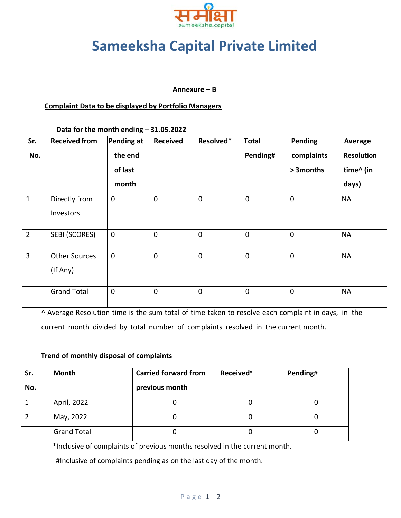

# **Sameeksha Capital Private Limited**

#### **Annexure – B**

### **Complaint Data to be displayed by Portfolio Managers**

**Data for the month ending – 31.05.2022**

| Sr.            | <b>Received from</b> | Pending at  | <b>Received</b> | Resolved*   | <b>Total</b> | Pending     | Average           |
|----------------|----------------------|-------------|-----------------|-------------|--------------|-------------|-------------------|
| No.            |                      | the end     |                 |             | Pending#     | complaints  | <b>Resolution</b> |
|                |                      | of last     |                 |             |              | > 3 months  | time^ (in         |
|                |                      | month       |                 |             |              |             | days)             |
| $\mathbf{1}$   | Directly from        | $\mathbf 0$ | $\mathbf 0$     | $\mathbf 0$ | $\mathbf 0$  | $\mathbf 0$ | <b>NA</b>         |
|                | Investors            |             |                 |             |              |             |                   |
| $\overline{2}$ | SEBI (SCORES)        | $\mathbf 0$ | $\mathbf 0$     | $\mathbf 0$ | $\mathbf 0$  | 0           | <b>NA</b>         |
| $\overline{3}$ | <b>Other Sources</b> | $\mathbf 0$ | $\mathbf 0$     | $\mathbf 0$ | $\mathbf 0$  | $\mathbf 0$ | <b>NA</b>         |
|                | (If Any)             |             |                 |             |              |             |                   |
|                | <b>Grand Total</b>   | $\mathbf 0$ | $\overline{0}$  | $\mathbf 0$ | $\mathbf 0$  | 0           | <b>NA</b>         |

^ Average Resolution time is the sum total of time taken to resolve each complaint in days, in the current month divided by total number of complaints resolved in the current month.

#### **Trend of monthly disposal of complaints**

| Sr. | <b>Month</b>       | <b>Carried forward from</b> | Received* | Pending# |
|-----|--------------------|-----------------------------|-----------|----------|
| No. |                    | previous month              |           |          |
|     | April, 2022        |                             |           |          |
|     | May, 2022          |                             | U         |          |
|     | <b>Grand Total</b> |                             |           |          |

\*Inclusive of complaints of previous months resolved in the current month.

#Inclusive of complaints pending as on the last day of the month.

#### Page 1 | 2